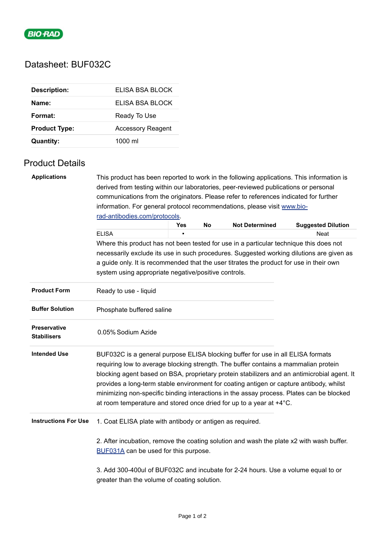

## Datasheet: BUF032C

| <b>Description:</b>  | ELISA BSA BLOCK          |
|----------------------|--------------------------|
| Name:                | FLISA BSA BLOCK          |
| Format:              | Ready To Use             |
| <b>Product Type:</b> | <b>Accessory Reagent</b> |
| <b>Quantity:</b>     | $1000 \mathrm{ml}$       |

## Product Details

| <b>Applications</b>                       | This product has been reported to work in the following applications. This information is                                                                                                                                                                                                                                                                                                                                                                                                                                           |     |    |                       |                                                                                          |  |  |  |
|-------------------------------------------|-------------------------------------------------------------------------------------------------------------------------------------------------------------------------------------------------------------------------------------------------------------------------------------------------------------------------------------------------------------------------------------------------------------------------------------------------------------------------------------------------------------------------------------|-----|----|-----------------------|------------------------------------------------------------------------------------------|--|--|--|
|                                           | derived from testing within our laboratories, peer-reviewed publications or personal                                                                                                                                                                                                                                                                                                                                                                                                                                                |     |    |                       |                                                                                          |  |  |  |
|                                           | communications from the originators. Please refer to references indicated for further<br>information. For general protocol recommendations, please visit www.bio-                                                                                                                                                                                                                                                                                                                                                                   |     |    |                       |                                                                                          |  |  |  |
|                                           |                                                                                                                                                                                                                                                                                                                                                                                                                                                                                                                                     |     |    |                       |                                                                                          |  |  |  |
|                                           | rad-antibodies.com/protocols.                                                                                                                                                                                                                                                                                                                                                                                                                                                                                                       |     |    |                       |                                                                                          |  |  |  |
|                                           |                                                                                                                                                                                                                                                                                                                                                                                                                                                                                                                                     | Yes | No | <b>Not Determined</b> | <b>Suggested Dilution</b>                                                                |  |  |  |
|                                           | <b>ELISA</b>                                                                                                                                                                                                                                                                                                                                                                                                                                                                                                                        |     |    |                       | <b>Neat</b>                                                                              |  |  |  |
|                                           | Where this product has not been tested for use in a particular technique this does not                                                                                                                                                                                                                                                                                                                                                                                                                                              |     |    |                       |                                                                                          |  |  |  |
|                                           |                                                                                                                                                                                                                                                                                                                                                                                                                                                                                                                                     |     |    |                       | necessarily exclude its use in such procedures. Suggested working dilutions are given as |  |  |  |
|                                           | a guide only. It is recommended that the user titrates the product for use in their own                                                                                                                                                                                                                                                                                                                                                                                                                                             |     |    |                       |                                                                                          |  |  |  |
|                                           | system using appropriate negative/positive controls.                                                                                                                                                                                                                                                                                                                                                                                                                                                                                |     |    |                       |                                                                                          |  |  |  |
| <b>Product Form</b>                       | Ready to use - liquid                                                                                                                                                                                                                                                                                                                                                                                                                                                                                                               |     |    |                       |                                                                                          |  |  |  |
| <b>Buffer Solution</b>                    | Phosphate buffered saline                                                                                                                                                                                                                                                                                                                                                                                                                                                                                                           |     |    |                       |                                                                                          |  |  |  |
| <b>Preservative</b><br><b>Stabilisers</b> | 0.05% Sodium Azide                                                                                                                                                                                                                                                                                                                                                                                                                                                                                                                  |     |    |                       |                                                                                          |  |  |  |
| <b>Intended Use</b>                       | BUF032C is a general purpose ELISA blocking buffer for use in all ELISA formats<br>requiring low to average blocking strength. The buffer contains a mammalian protein<br>blocking agent based on BSA, proprietary protein stabilizers and an antimicrobial agent. It<br>provides a long-term stable environment for coating antigen or capture antibody, whilst<br>minimizing non-specific binding interactions in the assay process. Plates can be blocked<br>at room temperature and stored once dried for up to a year at +4°C. |     |    |                       |                                                                                          |  |  |  |
| <b>Instructions For Use</b>               | 1. Coat ELISA plate with antibody or antigen as required.                                                                                                                                                                                                                                                                                                                                                                                                                                                                           |     |    |                       |                                                                                          |  |  |  |
|                                           | 2. After incubation, remove the coating solution and wash the plate x2 with wash buffer.<br>BUF031A can be used for this purpose.                                                                                                                                                                                                                                                                                                                                                                                                   |     |    |                       |                                                                                          |  |  |  |
|                                           | 3. Add 300-400ul of BUF032C and incubate for 2-24 hours. Use a volume equal to or<br>greater than the volume of coating solution.                                                                                                                                                                                                                                                                                                                                                                                                   |     |    |                       |                                                                                          |  |  |  |